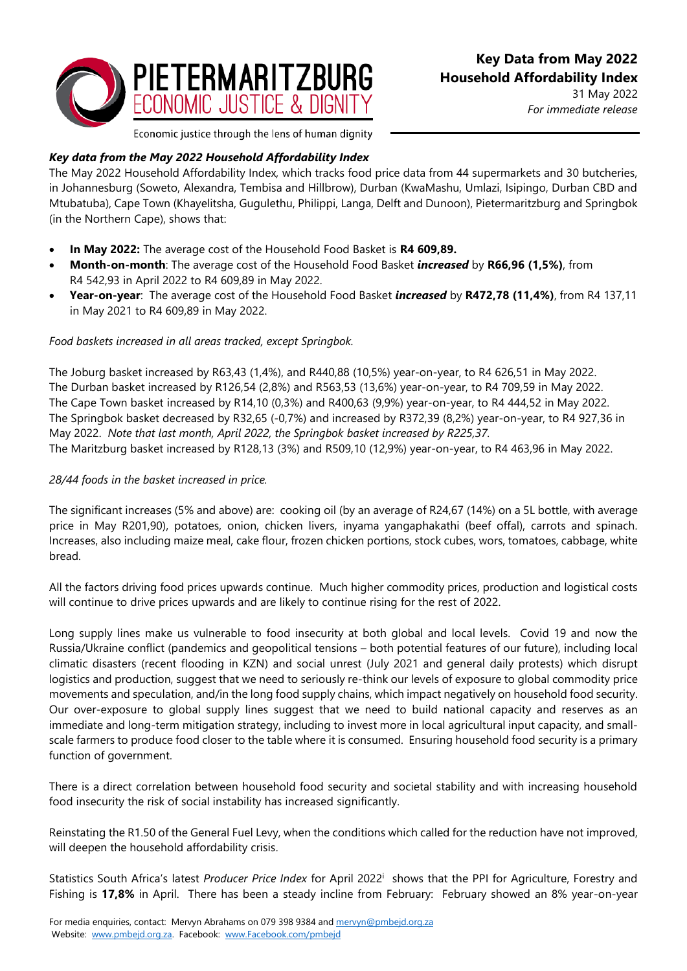

31 May 2022 *For immediate release*

Economic justice through the lens of human dignity

# *Key data from the May 2022 Household Affordability Index*

The May 2022 Household Affordability Index*,* which tracks food price data from 44 supermarkets and 30 butcheries, in Johannesburg (Soweto, Alexandra, Tembisa and Hillbrow), Durban (KwaMashu, Umlazi, Isipingo, Durban CBD and Mtubatuba), Cape Town (Khayelitsha, Gugulethu, Philippi, Langa, Delft and Dunoon), Pietermaritzburg and Springbok (in the Northern Cape), shows that:

- **In May 2022:** The average cost of the Household Food Basket is **R4 609,89.**
- **Month-on-month**: The average cost of the Household Food Basket *increased* by **R66,96 (1,5%)**, from R4 542,93 in April 2022 to R4 609,89 in May 2022.
- **Year-on-year**: The average cost of the Household Food Basket *increased* by **R472,78 (11,4%)**, from R4 137,11 in May 2021 to R4 609,89 in May 2022.

### *Food baskets increased in all areas tracked, except Springbok.*

The Joburg basket increased by R63,43 (1,4%), and R440,88 (10,5%) year-on-year, to R4 626,51 in May 2022. The Durban basket increased by R126,54 (2,8%) and R563,53 (13,6%) year-on-year, to R4 709,59 in May 2022. The Cape Town basket increased by R14,10 (0,3%) and R400,63 (9,9%) year-on-year, to R4 444,52 in May 2022. The Springbok basket decreased by R32,65 (-0,7%) and increased by R372,39 (8,2%) year-on-year, to R4 927,36 in May 2022. *Note that last month, April 2022, the Springbok basket increased by R225,37.* The Maritzburg basket increased by R128,13 (3%) and R509,10 (12,9%) year-on-year, to R4 463,96 in May 2022.

## *28/44 foods in the basket increased in price.*

The significant increases (5% and above) are: cooking oil (by an average of R24,67 (14%) on a 5L bottle, with average price in May R201,90), potatoes, onion, chicken livers, inyama yangaphakathi (beef offal), carrots and spinach. Increases, also including maize meal, cake flour, frozen chicken portions, stock cubes, wors, tomatoes, cabbage, white bread.

All the factors driving food prices upwards continue. Much higher commodity prices, production and logistical costs will continue to drive prices upwards and are likely to continue rising for the rest of 2022.

Long supply lines make us vulnerable to food insecurity at both global and local levels. Covid 19 and now the Russia/Ukraine conflict (pandemics and geopolitical tensions – both potential features of our future), including local climatic disasters (recent flooding in KZN) and social unrest (July 2021 and general daily protests) which disrupt logistics and production, suggest that we need to seriously re-think our levels of exposure to global commodity price movements and speculation, and/in the long food supply chains, which impact negatively on household food security. Our over-exposure to global supply lines suggest that we need to build national capacity and reserves as an immediate and long-term mitigation strategy, including to invest more in local agricultural input capacity, and smallscale farmers to produce food closer to the table where it is consumed. Ensuring household food security is a primary function of government.

There is a direct correlation between household food security and societal stability and with increasing household food insecurity the risk of social instability has increased significantly.

Reinstating the R1.50 of the General Fuel Levy, when the conditions which called for the reduction have not improved, will deepen the household affordability crisis.

Statistics South Africa's latest Producer Price Index for April 2022<sup>i</sup> shows that the PPI for Agriculture, Forestry and Fishing is **17,8%** in April. There has been a steady incline from February: February showed an 8% year-on-year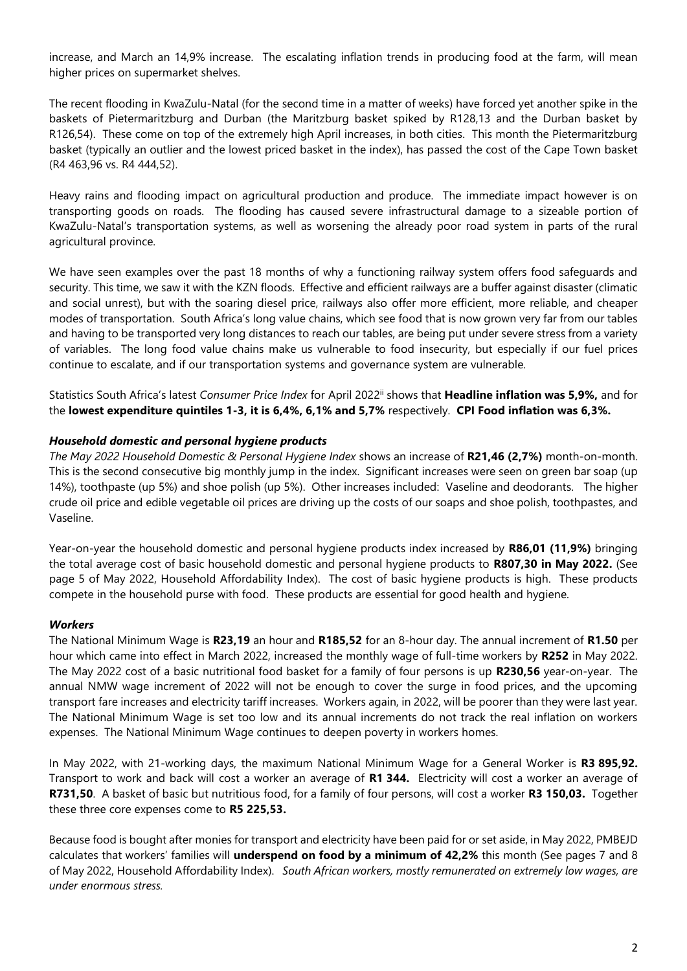increase, and March an 14,9% increase. The escalating inflation trends in producing food at the farm, will mean higher prices on supermarket shelves.

The recent flooding in KwaZulu-Natal (for the second time in a matter of weeks) have forced yet another spike in the baskets of Pietermaritzburg and Durban (the Maritzburg basket spiked by R128,13 and the Durban basket by R126,54). These come on top of the extremely high April increases, in both cities. This month the Pietermaritzburg basket (typically an outlier and the lowest priced basket in the index), has passed the cost of the Cape Town basket (R4 463,96 vs. R4 444,52).

Heavy rains and flooding impact on agricultural production and produce. The immediate impact however is on transporting goods on roads. The flooding has caused severe infrastructural damage to a sizeable portion of KwaZulu-Natal's transportation systems, as well as worsening the already poor road system in parts of the rural agricultural province.

We have seen examples over the past 18 months of why a functioning railway system offers food safeguards and security. This time, we saw it with the KZN floods. Effective and efficient railways are a buffer against disaster (climatic and social unrest), but with the soaring diesel price, railways also offer more efficient, more reliable, and cheaper modes of transportation. South Africa's long value chains, which see food that is now grown very far from our tables and having to be transported very long distances to reach our tables, are being put under severe stress from a variety of variables. The long food value chains make us vulnerable to food insecurity, but especially if our fuel prices continue to escalate, and if our transportation systems and governance system are vulnerable.

Statistics South Africa's latest *Consumer Price Index* for April 2022ii shows that **Headline inflation was 5,9%,** and for the **lowest expenditure quintiles 1-3, it is 6,4%, 6,1% and 5,7%** respectively. **CPI Food inflation was 6,3%.**

### *Household domestic and personal hygiene products*

*The May 2022 Household Domestic & Personal Hygiene Index* shows an increase of **R21,46 (2,7%)** month-on-month. This is the second consecutive big monthly jump in the index. Significant increases were seen on green bar soap (up 14%), toothpaste (up 5%) and shoe polish (up 5%). Other increases included: Vaseline and deodorants. The higher crude oil price and edible vegetable oil prices are driving up the costs of our soaps and shoe polish, toothpastes, and Vaseline.

Year-on-year the household domestic and personal hygiene products index increased by **R86,01 (11,9%)** bringing the total average cost of basic household domestic and personal hygiene products to **R807,30 in May 2022.** (See page 5 of May 2022, Household Affordability Index). The cost of basic hygiene products is high. These products compete in the household purse with food. These products are essential for good health and hygiene.

#### *Workers*

The National Minimum Wage is **R23,19** an hour and **R185,52** for an 8-hour day. The annual increment of **R1.50** per hour which came into effect in March 2022, increased the monthly wage of full-time workers by **R252** in May 2022. The May 2022 cost of a basic nutritional food basket for a family of four persons is up **R230,56** year-on-year. The annual NMW wage increment of 2022 will not be enough to cover the surge in food prices, and the upcoming transport fare increases and electricity tariff increases. Workers again, in 2022, will be poorer than they were last year. The National Minimum Wage is set too low and its annual increments do not track the real inflation on workers expenses. The National Minimum Wage continues to deepen poverty in workers homes.

In May 2022, with 21-working days, the maximum National Minimum Wage for a General Worker is **R3 895,92.**  Transport to work and back will cost a worker an average of **R1 344.** Electricity will cost a worker an average of **R731,50**. A basket of basic but nutritious food, for a family of four persons, will cost a worker **R3 150,03.** Together these three core expenses come to **R5 225,53.**

Because food is bought after monies for transport and electricity have been paid for or set aside, in May 2022, PMBEJD calculates that workers' families will **underspend on food by a minimum of 42,2%** this month (See pages 7 and 8 of May 2022, Household Affordability Index). *South African workers, mostly remunerated on extremely low wages, are under enormous stress.*